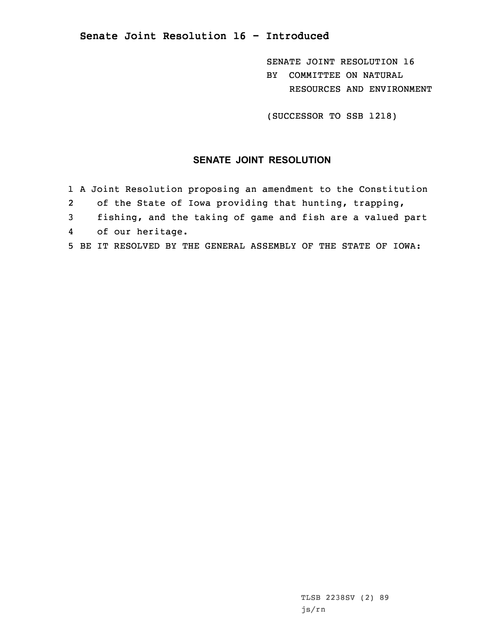**Senate Joint Resolution 16 - Introduced**

SENATE JOINT RESOLUTION 16 BY COMMITTEE ON NATURAL RESOURCES AND ENVIRONMENT

(SUCCESSOR TO SSB 1218)

## **SENATE JOINT RESOLUTION**

- 1 <sup>A</sup> Joint Resolution proposing an amendment to the Constitution
- 2of the State of Iowa providing that hunting, trapping,
- 3 fishing, and the taking of game and fish are <sup>a</sup> valued part
- 4of our heritage.
- 5 BE IT RESOLVED BY THE GENERAL ASSEMBLY OF THE STATE OF IOWA: